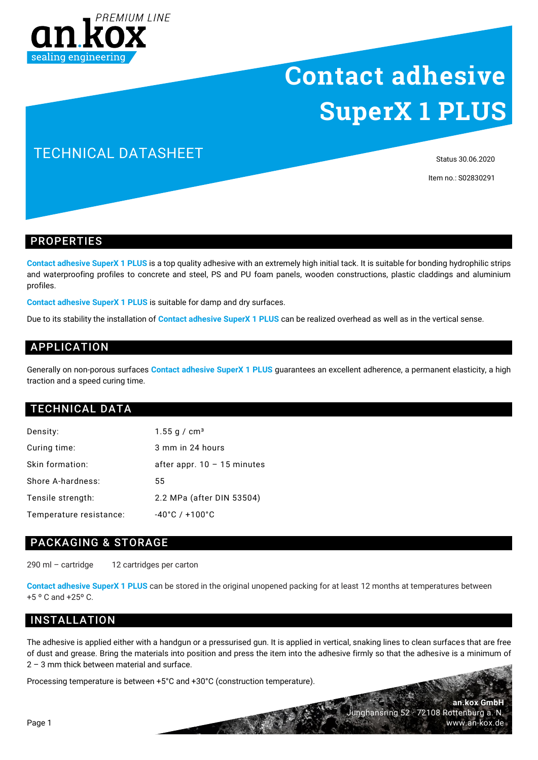

# **Contact adhesive SuperX 1 PLUS**

## TECHNICAL DATASHEET

Status 30.06.2020

Item no.: S02830291

#### PROPERTIES

**Contact adhesive SuperX 1 PLUS** is a top quality adhesive with an extremely high initial tack. It is suitable for bonding hydrophilic strips and waterproofing profiles to concrete and steel, PS and PU foam panels, wooden constructions, plastic claddings and aluminium profiles.

**Contact adhesive SuperX 1 PLUS** is suitable for damp and dry surfaces.

Due to its stability the installation of **Contact adhesive SuperX 1 PLUS** can be realized overhead as well as in the vertical sense.

## APPLICATION

Generally on non-porous surfaces **Contact adhesive SuperX 1 PLUS** guarantees an excellent adherence, a permanent elasticity, a high traction and a speed curing time.

### TECHNICAL DATA

| Density:                | 1.55 g / $cm3$                     |
|-------------------------|------------------------------------|
| Curing time:            | 3 mm in 24 hours                   |
| Skin formation:         | after appr. $10 - 15$ minutes      |
| Shore A-hardness:       | 55                                 |
| Tensile strength:       | 2.2 MPa (after DIN 53504)          |
| Temperature resistance: | $-40^{\circ}$ C / $+100^{\circ}$ C |

#### PACKAGING & STORAGE

290 ml – cartridge 12 cartridges per carton

**Contact adhesive SuperX 1 PLUS** can be stored in the original unopened packing for at least 12 months at temperatures between +5 º C and +25º C.

## INSTALLATION

The adhesive is applied either with a handgun or a pressurised gun. It is applied in vertical, snaking lines to clean surfaces that are free of dust and grease. Bring the materials into position and press the item into the adhesive firmly so that the adhesive is a minimum of 2 – 3 mm thick between material and surface.

Processing temperature is between +5°C and +30°C (construction temperature).

Page 1

**an.kox GmbH** Junghansring 52 · 72108 Rottenburg a. N. www.an-kox.de